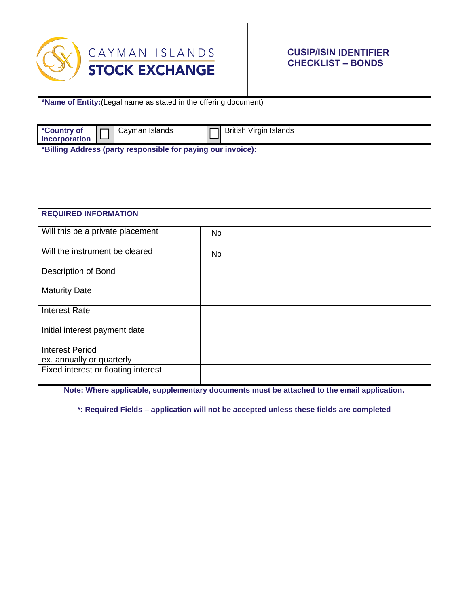

## **CUSIP/ISIN IDENTIFIER CHECKLIST – BONDS**

| *Name of Entity: (Legal name as stated in the offering document) |                               |
|------------------------------------------------------------------|-------------------------------|
|                                                                  |                               |
| *Country of<br>Cayman Islands                                    | <b>British Virgin Islands</b> |
| Incorporation                                                    |                               |
| *Billing Address (party responsible for paying our invoice):     |                               |
|                                                                  |                               |
|                                                                  |                               |
|                                                                  |                               |
|                                                                  |                               |
| <b>REQUIRED INFORMATION</b>                                      |                               |
|                                                                  |                               |
| Will this be a private placement                                 | <b>No</b>                     |
| Will the instrument be cleared                                   |                               |
|                                                                  | No                            |
| Description of Bond                                              |                               |
|                                                                  |                               |
| <b>Maturity Date</b>                                             |                               |
| <b>Interest Rate</b>                                             |                               |
|                                                                  |                               |
| Initial interest payment date                                    |                               |
|                                                                  |                               |
| <b>Interest Period</b>                                           |                               |
| ex. annually or quarterly                                        |                               |
| Fixed interest or floating interest                              |                               |

**Note: Where applicable, supplementary documents must be attached to the email application.**

**\*: Required Fields – application will not be accepted unless these fields are completed**